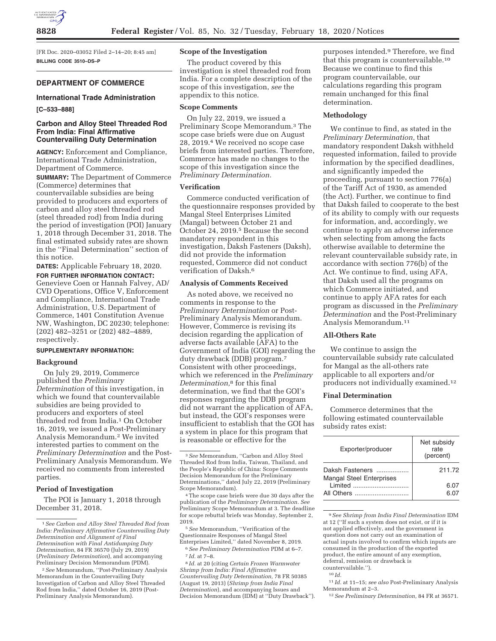

[FR Doc. 2020–03052 Filed 2–14–20; 8:45 am] **BILLING CODE 3510–DS–P** 

## **DEPARTMENT OF COMMERCE**

#### **International Trade Administration**

#### **[C–533–888]**

# **Carbon and Alloy Steel Threaded Rod From India: Final Affirmative Countervailing Duty Determination**

**AGENCY:** Enforcement and Compliance, International Trade Administration, Department of Commerce.

**SUMMARY:** The Department of Commerce (Commerce) determines that countervailable subsidies are being provided to producers and exporters of carbon and alloy steel threaded rod (steel threaded rod) from India during the period of investigation (POI) January 1, 2018 through December 31, 2018. The final estimated subsidy rates are shown in the ''Final Determination'' section of this notice.

**DATES:** Applicable February 18, 2020. **FOR FURTHER INFORMATION CONTACT:**  Genevieve Coen or Hannah Falvey, AD/ CVD Operations, Office V, Enforcement and Compliance, International Trade Administration, U.S. Department of Commerce, 1401 Constitution Avenue NW, Washington, DC 20230; telephone: (202) 482–3251 or (202) 482–4889, respectively.

## **SUPPLEMENTARY INFORMATION:**

#### **Background**

On July 29, 2019, Commerce published the *Preliminary Determination* of this investigation, in which we found that countervailable subsidies are being provided to producers and exporters of steel threaded rod from India.<sup>1</sup> On October 16, 2019, we issued a Post-Preliminary Analysis Memorandum.2 We invited interested parties to comment on the *Preliminary Determination* and the Post-Preliminary Analysis Memorandum. We received no comments from interested parties.

# **Period of Investigation**

The POI is January 1, 2018 through December 31, 2018.

# **Scope of the Investigation**

The product covered by this investigation is steel threaded rod from India. For a complete description of the scope of this investigation, *see* the appendix to this notice.

### **Scope Comments**

On July 22, 2019, we issued a Preliminary Scope Memorandum.3 The scope case briefs were due on August 28, 2019.4 We received no scope case briefs from interested parties. Therefore, Commerce has made no changes to the scope of this investigation since the *Preliminary Determination.* 

### **Verification**

Commerce conducted verification of the questionnaire responses provided by Mangal Steel Enterprises Limited (Mangal) between October 21 and October 24, 2019.5 Because the second mandatory respondent in this investigation, Daksh Fasteners (Daksh), did not provide the information requested, Commerce did not conduct verification of Daksh.6

#### **Analysis of Comments Received**

As noted above, we received no comments in response to the *Preliminary Determination* or Post-Preliminary Analysis Memorandum. However, Commerce is revising its decision regarding the application of adverse facts available (AFA) to the Government of India (GOI) regarding the duty drawback (DDB) program.7 Consistent with other proceedings, which we referenced in the *Preliminary Determination,*8 for this final determination, we find that the GOI's responses regarding the DDB program did not warrant the application of AFA, but instead, the GOI's responses were insufficient to establish that the GOI has a system in place for this program that is reasonable or effective for the

4The scope case briefs were due 30 days after the publication of the *Preliminary Determination. See*  Preliminary Scope Memorandum at 3. The deadline for scope rebuttal briefs was Monday, September 2, 2019.

8 *Id.* at 20 (citing *Certain Frozen Warmwater Shrimp from India: Final Affirmative Countervailing Duty Determination,* 78 FR 50385 (August 19, 2013) (*Shrimp from India Final Determination*), and accompanying Issues and Decision Memorandum (IDM) at ''Duty Drawback''). purposes intended.9 Therefore, we find that this program is countervailable.10 Because we continue to find this program countervailable, our calculations regarding this program remain unchanged for this final determination.

# **Methodology**

We continue to find, as stated in the *Preliminary Determination,* that mandatory respondent Daksh withheld requested information, failed to provide information by the specified deadlines, and significantly impeded the proceeding, pursuant to section 776(a) of the Tariff Act of 1930, as amended (the Act). Further, we continue to find that Daksh failed to cooperate to the best of its ability to comply with our requests for information, and, accordingly, we continue to apply an adverse inference when selecting from among the facts otherwise available to determine the relevant countervailable subsidy rate, in accordance with section 776(b) of the Act. We continue to find, using AFA, that Daksh used all the programs on which Commerce initiated, and continue to apply AFA rates for each program as discussed in the *Preliminary Determination* and the Post-Preliminary Analysis Memorandum.11

## **All-Others Rate**

We continue to assign the countervailable subsidy rate calculated for Mangal as the all-others rate applicable to all exporters and/or producers not individually examined.12

## **Final Determination**

Commerce determines that the following estimated countervailable subsidy rates exist:

| Exporter/producer                                  | Net subsidy<br>rate<br>(percent) |
|----------------------------------------------------|----------------------------------|
| Daksh Fasteners<br><b>Mangal Steel Enterprises</b> | 211.72                           |
| All Others                                         | 6.07<br>6 በ7                     |

9*See Shrimp from India Final Determination* IDM at 12 (''If such a system does not exist, or if it is not applied effectively, and the government in question does not carry out an examination of actual inputs involved to confirm which inputs are consumed in the production of the exported product, the entire amount of any exemption, deferral, remission or drawback is countervailable.'').

11 *Id.* at 11–15; *see also* Post-Preliminary Analysis Memorandum at 2–3.

12*See Preliminary Determination,* 84 FR at 36571.

<sup>1</sup>*See Carbon and Alloy Steel Threaded Rod from India: Preliminary Affirmative Countervailing Duty Determination and Alignment of Final Determination with Final Antidumping Duty Determination,* 84 FR 36570 (July 29, 2019) (*Preliminary Determination*), and accompanying Preliminary Decision Memorandum (PDM).

<sup>2</sup>*See* Memorandum, ''Post-Preliminary Analysis Memorandum in the Countervailing Duty Investigation of Carbon and Alloy Steel Threaded Rod from India,'' dated October 16, 2019 (Post-Preliminary Analysis Memorandum).

<sup>3</sup>*See* Memorandum, ''Carbon and Alloy Steel Threaded Rod from India, Taiwan, Thailand, and the People's Republic of China: Scope Comments Decision Memorandum for the Preliminary Determinations,'' dated July 22, 2019 (Preliminary Scope Memorandum).

<sup>5</sup>*See* Memorandum, ''Verification of the Questionnaire Responses of Mangal Steel Enterprises Limited,'' dated November 8, 2019. 6*See Preliminary Determination* PDM at 6–7. 7 *Id.* at 7–8.

 $^{10}\,Id.$